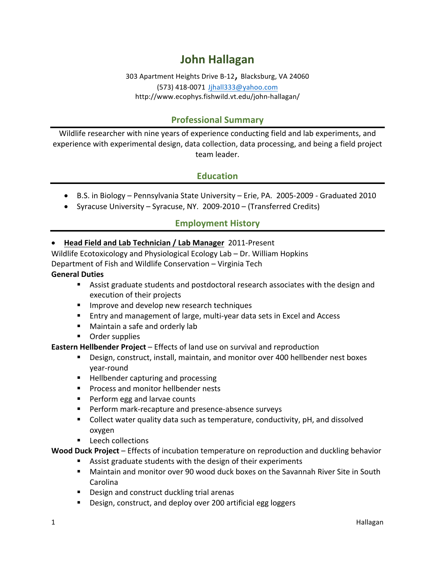# **John Hallagan**

303 Apartment Heights Drive B-12, Blacksburg, VA 24060 (573) 418-0071 Jjhall333@yahoo.com http://www.ecophys.fishwild.vt.edu/john-hallagan/

# **Professional Summary**

Wildlife researcher with nine years of experience conducting field and lab experiments, and experience with experimental design, data collection, data processing, and being a field project team leader.

# **Education**

- B.S. in Biology Pennsylvania State University Erie, PA. 2005-2009 Graduated 2010
- Syracuse University Syracuse, NY. 2009-2010 (Transferred Credits)

# **Employment History**

#### • Head Field and Lab Technician / Lab Manager 2011-Present

Wildlife Ecotoxicology and Physiological Ecology Lab - Dr. William Hopkins Department of Fish and Wildlife Conservation – Virginia Tech

#### **General Duties**

- Assist graduate students and postdoctoral research associates with the design and execution of their projects
- **E** Improve and develop new research techniques
- Entry and management of large, multi-year data sets in Excel and Access
- **■** Maintain a safe and orderly lab
- Order supplies

**Eastern Hellbender Project** – Effects of land use on survival and reproduction

- Design, construct, install, maintain, and monitor over 400 hellbender nest boxes year-round
- **E** Hellbender capturing and processing
- Process and monitor hellbender nests
- Perform egg and larvae counts
- Perform mark-recapture and presence-absence surveys
- Collect water quality data such as temperature, conductivity, pH, and dissolved oxygen
- Leech collections

**Wood Duck Project** – Effects of incubation temperature on reproduction and duckling behavior

- Assist graduate students with the design of their experiments
- Maintain and monitor over 90 wood duck boxes on the Savannah River Site in South Carolina
- Design and construct duckling trial arenas
- Design, construct, and deploy over 200 artificial egg loggers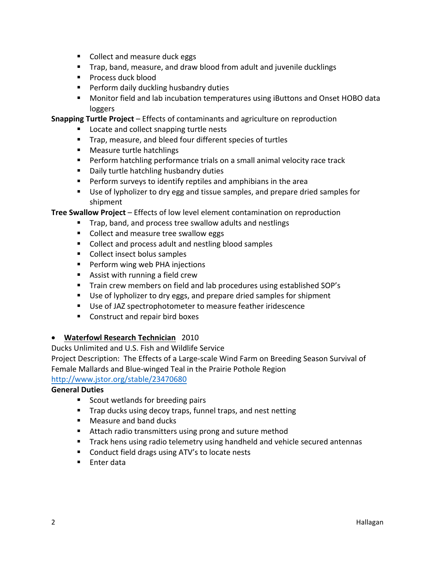- Collect and measure duck eggs
- Trap, band, measure, and draw blood from adult and juvenile ducklings
- Process duck blood
- **•** Perform daily duckling husbandry duties
- Monitor field and lab incubation temperatures using iButtons and Onset HOBO data loggers

**Snapping Turtle Project** – Effects of contaminants and agriculture on reproduction

- Locate and collect snapping turtle nests
- Trap, measure, and bleed four different species of turtles
- **■** Measure turtle hatchlings
- Perform hatchling performance trials on a small animal velocity race track
- Daily turtle hatchling husbandry duties
- **•** Perform surveys to identify reptiles and amphibians in the area
- Use of lypholizer to dry egg and tissue samples, and prepare dried samples for shipment

**Tree Swallow Project** – Effects of low level element contamination on reproduction

- Trap, band, and process tree swallow adults and nestlings
- Collect and measure tree swallow eggs
- Collect and process adult and nestling blood samples
- Collect insect bolus samples
- Perform wing web PHA injections
- Assist with running a field crew
- Train crew members on field and lab procedures using established SOP's
- Use of lypholizer to dry eggs, and prepare dried samples for shipment
- Use of JAZ spectrophotometer to measure feather iridescence
- Construct and repair bird boxes

### • **Waterfowl Research Technician** 2010

Ducks Unlimited and U.S. Fish and Wildlife Service

Project Description: The Effects of a Large-scale Wind Farm on Breeding Season Survival of Female Mallards and Blue-winged Teal in the Prairie Pothole Region

http://www.jstor.org/stable/23470680

### **General Duties**

- Scout wetlands for breeding pairs
- Trap ducks using decoy traps, funnel traps, and nest netting
- Measure and band ducks
- Attach radio transmitters using prong and suture method
- Track hens using radio telemetry using handheld and vehicle secured antennas
- Conduct field drags using ATV's to locate nests
- Enter data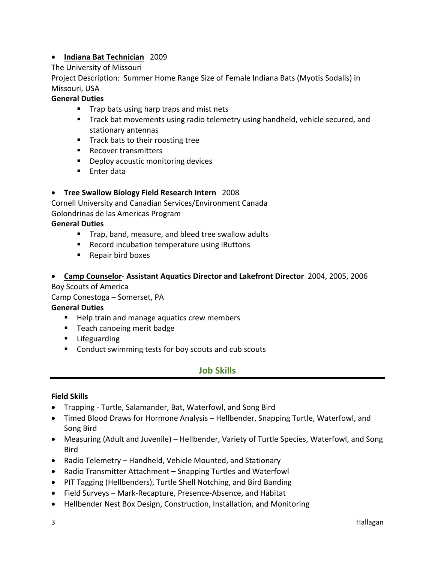# • **Indiana Bat Technician** 2009

## The University of Missouri

Project Description: Summer Home Range Size of Female Indiana Bats (Myotis Sodalis) in Missouri, USA

## **General Duties**

- Trap bats using harp traps and mist nets
- Track bat movements using radio telemetry using handheld, vehicle secured, and stationary antennas
- Track bats to their roosting tree
- Recover transmitters
- Deploy acoustic monitoring devices
- Enter data

## **•** Tree Swallow Biology Field Research Intern 2008

Cornell University and Canadian Services/Environment Canada Golondrinas de las Americas Program

### **General Duties**

- Trap, band, measure, and bleed tree swallow adults
- Record incubation temperature using iButtons
- Repair bird boxes
- **Camp Counselor Assistant Aquatics Director and Lakefront Director** 2004, 2005, 2006

Boy Scouts of America

Camp Conestoga – Somerset, PA

### **General Duties**

- Help train and manage aquatics crew members
- Teach canoeing merit badge
- Lifeguarding
- Conduct swimming tests for boy scouts and cub scouts

# **Job Skills**

### **Field Skills**

- Trapping Turtle, Salamander, Bat, Waterfowl, and Song Bird
- Timed Blood Draws for Hormone Analysis Hellbender, Snapping Turtle, Waterfowl, and Song Bird
- Measuring (Adult and Juvenile) Hellbender, Variety of Turtle Species, Waterfowl, and Song Bird
- Radio Telemetry Handheld, Vehicle Mounted, and Stationary
- Radio Transmitter Attachment Snapping Turtles and Waterfowl
- PIT Tagging (Hellbenders), Turtle Shell Notching, and Bird Banding
- Field Surveys Mark-Recapture, Presence-Absence, and Habitat
- Hellbender Nest Box Design, Construction, Installation, and Monitoring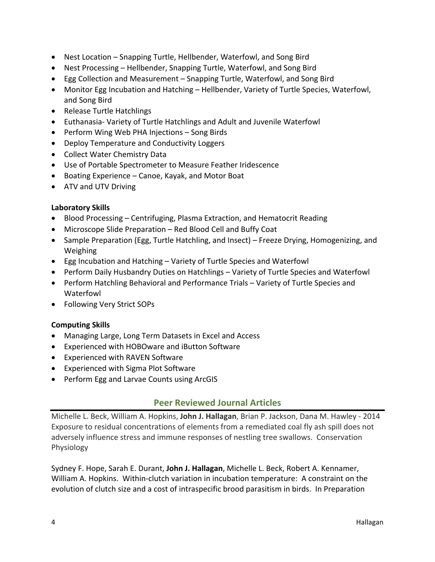- Nest Location Snapping Turtle, Hellbender, Waterfowl, and Song Bird
- Nest Processing Hellbender, Snapping Turtle, Waterfowl, and Song Bird
- Egg Collection and Measurement Snapping Turtle, Waterfowl, and Song Bird
- Monitor Egg Incubation and Hatching Hellbender, Variety of Turtle Species, Waterfowl, and Song Bird
- Release Turtle Hatchlings
- Euthanasia- Variety of Turtle Hatchlings and Adult and Juvenile Waterfowl
- Perform Wing Web PHA Injections Song Birds
- Deploy Temperature and Conductivity Loggers
- Collect Water Chemistry Data
- Use of Portable Spectrometer to Measure Feather Iridescence
- Boating Experience Canoe, Kayak, and Motor Boat
- ATV and UTV Driving

## **Laboratory Skills**

- Blood Processing Centrifuging, Plasma Extraction, and Hematocrit Reading
- Microscope Slide Preparation Red Blood Cell and Buffy Coat
- Sample Preparation (Egg, Turtle Hatchling, and Insect) Freeze Drying, Homogenizing, and Weighing
- Egg Incubation and Hatching Variety of Turtle Species and Waterfowl
- Perform Daily Husbandry Duties on Hatchlings Variety of Turtle Species and Waterfowl
- Perform Hatchling Behavioral and Performance Trials Variety of Turtle Species and Waterfowl
- Following Very Strict SOPs

# **Computing Skills**

- Managing Large, Long Term Datasets in Excel and Access
- Experienced with HOBOware and iButton Software
- Experienced with RAVEN Software
- Experienced with Sigma Plot Software
- Perform Egg and Larvae Counts using ArcGIS

# **Peer Reviewed Journal Articles**

Michelle L. Beck, William A. Hopkins, John J. Hallagan, Brian P. Jackson, Dana M. Hawley - 2014 Exposure to residual concentrations of elements from a remediated coal fly ash spill does not adversely influence stress and immune responses of nestling tree swallows. Conservation Physiology

Sydney F. Hope, Sarah E. Durant, **John J. Hallagan**, Michelle L. Beck, Robert A. Kennamer, William A. Hopkins. Within-clutch variation in incubation temperature: A constraint on the evolution of clutch size and a cost of intraspecific brood parasitism in birds. In Preparation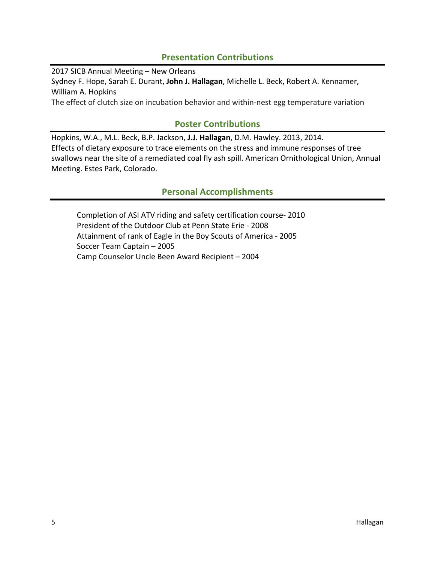# **Presentation Contributions**

2017 SICB Annual Meeting - New Orleans Sydney F. Hope, Sarah E. Durant, John J. Hallagan, Michelle L. Beck, Robert A. Kennamer, William A. Hopkins The effect of clutch size on incubation behavior and within-nest egg temperature variation

# **Poster Contributions**

Hopkins, W.A., M.L. Beck, B.P. Jackson, J.J. Hallagan, D.M. Hawley. 2013, 2014. Effects of dietary exposure to trace elements on the stress and immune responses of tree swallows near the site of a remediated coal fly ash spill. American Ornithological Union, Annual Meeting. Estes Park, Colorado.

# **Personal Accomplishments**

Completion of ASI ATV riding and safety certification course- 2010 President of the Outdoor Club at Penn State Erie - 2008 Attainment of rank of Eagle in the Boy Scouts of America - 2005 Soccer Team Captain - 2005 Camp Counselor Uncle Been Award Recipient - 2004